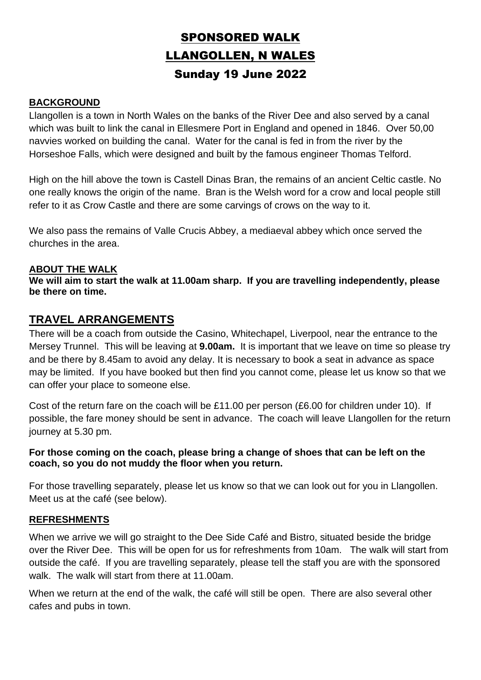# SPONSORED WALK LLANGOLLEN, N WALES Sunday 19 June 2022

#### **BACKGROUND**

Llangollen is a town in North Wales on the banks of the River Dee and also served by a canal which was built to link the canal in Ellesmere Port in England and opened in 1846. Over 50,00 navvies worked on building the canal. Water for the canal is fed in from the river by the Horseshoe Falls, which were designed and built by the famous engineer Thomas Telford.

High on the hill above the town is Castell Dinas Bran, the remains of an ancient Celtic castle. No one really knows the origin of the name. Bran is the Welsh word for a crow and local people still refer to it as Crow Castle and there are some carvings of crows on the way to it.

We also pass the remains of Valle Crucis Abbey, a mediaeval abbey which once served the churches in the area.

#### **ABOUT THE WALK**

**We will aim to start the walk at 11.00am sharp. If you are travelling independently, please be there on time.**

## **TRAVEL ARRANGEMENTS**

There will be a coach from outside the Casino, Whitechapel, Liverpool, near the entrance to the Mersey Trunnel. This will be leaving at **9.00am.** It is important that we leave on time so please try and be there by 8.45am to avoid any delay. It is necessary to book a seat in advance as space may be limited. If you have booked but then find you cannot come, please let us know so that we can offer your place to someone else.

Cost of the return fare on the coach will be £11.00 per person (£6.00 for children under 10). If possible, the fare money should be sent in advance. The coach will leave Llangollen for the return journey at 5.30 pm.

#### **For those coming on the coach, please bring a change of shoes that can be left on the coach, so you do not muddy the floor when you return.**

For those travelling separately, please let us know so that we can look out for you in Llangollen. Meet us at the café (see below).

#### **REFRESHMENTS**

When we arrive we will go straight to the Dee Side Café and Bistro, situated beside the bridge over the River Dee. This will be open for us for refreshments from 10am. The walk will start from outside the café. If you are travelling separately, please tell the staff you are with the sponsored walk. The walk will start from there at 11.00am.

When we return at the end of the walk, the café will still be open. There are also several other cafes and pubs in town.